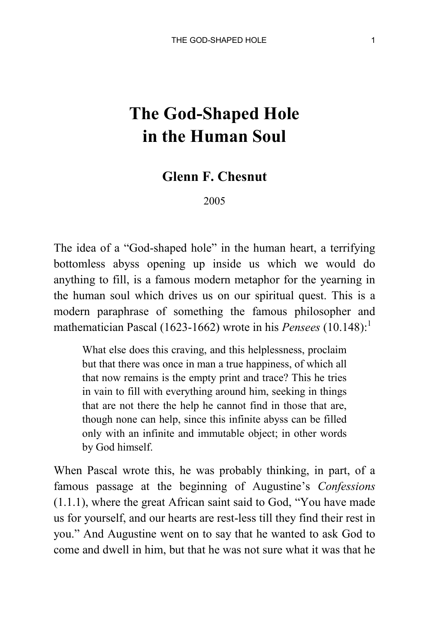## **The God-Shaped Hole in the Human Soul**

## **Glenn F. Chesnut**

2005

The idea of a "God-shaped hole" in the human heart, a terrifying bottomless abyss opening up inside us which we would do anything to fill, is a famous modern metaphor for the yearning in the human soul which drives us on our spiritual quest. This is a modern paraphrase of something the famous philosopher and mathematician Pascal (1623-1662) wrote in his *Pensees* (10.148):<sup>1</sup>

What else does this craving, and this helplessness, proclaim but that there was once in man a true happiness, of which all that now remains is the empty print and trace? This he tries in vain to fill with everything around him, seeking in things that are not there the help he cannot find in those that are, though none can help, since this infinite abyss can be filled only with an infinite and immutable object; in other words by God himself.

When Pascal wrote this, he was probably thinking, in part, of a famous passage at the beginning of Augustine's *Confessions* (1.1.1), where the great African saint said to God, "You have made us for yourself, and our hearts are rest-less till they find their rest in you." And Augustine went on to say that he wanted to ask God to come and dwell in him, but that he was not sure what it was that he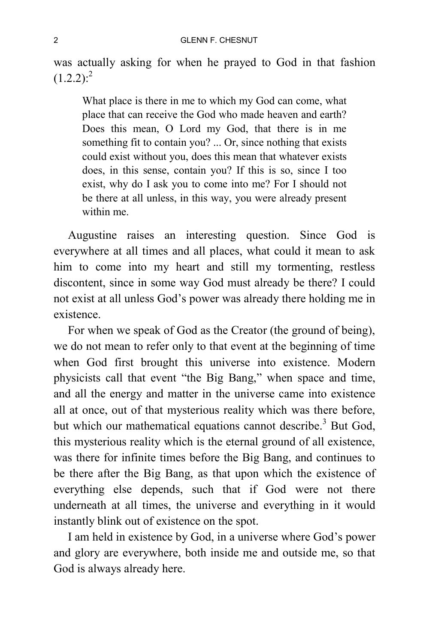was actually asking for when he prayed to God in that fashion  $(1.2.2):<sup>2</sup>$ 

What place is there in me to which my God can come, what place that can receive the God who made heaven and earth? Does this mean, O Lord my God, that there is in me something fit to contain you? ... Or, since nothing that exists could exist without you, does this mean that whatever exists does, in this sense, contain you? If this is so, since I too exist, why do I ask you to come into me? For I should not be there at all unless, in this way, you were already present within me.

Augustine raises an interesting question. Since God is everywhere at all times and all places, what could it mean to ask him to come into my heart and still my tormenting, restless discontent, since in some way God must already be there? I could not exist at all unless God's power was already there holding me in existence.

For when we speak of God as the Creator (the ground of being), we do not mean to refer only to that event at the beginning of time when God first brought this universe into existence. Modern physicists call that event "the Big Bang," when space and time, and all the energy and matter in the universe came into existence all at once, out of that mysterious reality which was there before, but which our mathematical equations cannot describe.<sup>3</sup> But God, this mysterious reality which is the eternal ground of all existence, was there for infinite times before the Big Bang, and continues to be there after the Big Bang, as that upon which the existence of everything else depends, such that if God were not there underneath at all times, the universe and everything in it would instantly blink out of existence on the spot.

I am held in existence by God, in a universe where God's power and glory are everywhere, both inside me and outside me, so that God is always already here.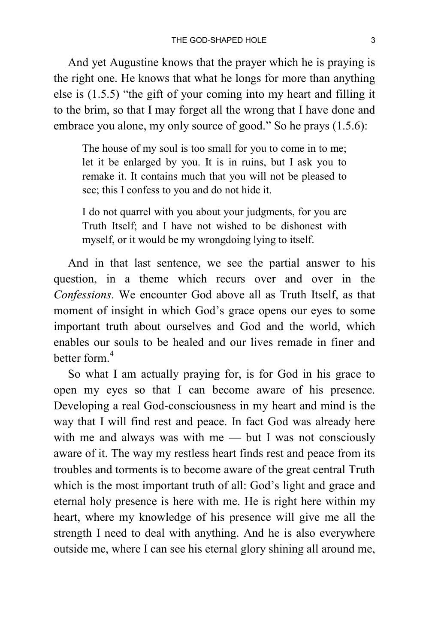And yet Augustine knows that the prayer which he is praying is the right one. He knows that what he longs for more than anything else is (1.5.5) "the gift of your coming into my heart and filling it to the brim, so that I may forget all the wrong that I have done and embrace you alone, my only source of good." So he prays (1.5.6):

The house of my soul is too small for you to come in to me; let it be enlarged by you. It is in ruins, but I ask you to remake it. It contains much that you will not be pleased to see; this I confess to you and do not hide it.

I do not quarrel with you about your judgments, for you are Truth Itself; and I have not wished to be dishonest with myself, or it would be my wrongdoing lying to itself.

And in that last sentence, we see the partial answer to his question, in a theme which recurs over and over in the *Confessions*. We encounter God above all as Truth Itself, as that moment of insight in which God's grace opens our eyes to some important truth about ourselves and God and the world, which enables our souls to be healed and our lives remade in finer and better form  $^4$ 

So what I am actually praying for, is for God in his grace to open my eyes so that I can become aware of his presence. Developing a real God-consciousness in my heart and mind is the way that I will find rest and peace. In fact God was already here with me and always was with me — but I was not consciously aware of it. The way my restless heart finds rest and peace from its troubles and torments is to become aware of the great central Truth which is the most important truth of all: God's light and grace and eternal holy presence is here with me. He is right here within my heart, where my knowledge of his presence will give me all the strength I need to deal with anything. And he is also everywhere outside me, where I can see his eternal glory shining all around me,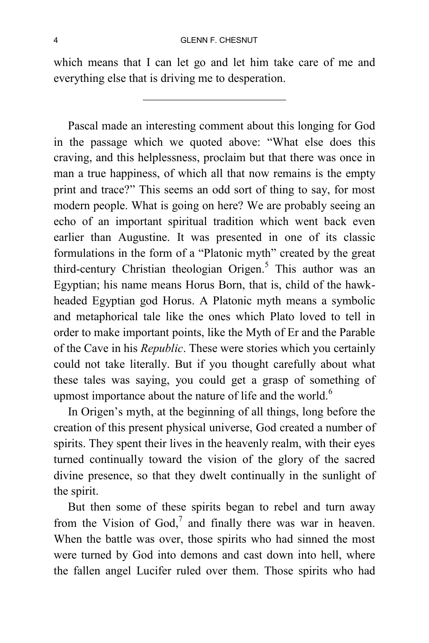which means that I can let go and let him take care of me and everything else that is driving me to desperation.

Pascal made an interesting comment about this longing for God in the passage which we quoted above: "What else does this craving, and this helplessness, proclaim but that there was once in man a true happiness, of which all that now remains is the empty print and trace?" This seems an odd sort of thing to say, for most modern people. What is going on here? We are probably seeing an echo of an important spiritual tradition which went back even earlier than Augustine. It was presented in one of its classic formulations in the form of a "Platonic myth" created by the great third-century Christian theologian Origen.<sup>5</sup> This author was an Egyptian; his name means Horus Born, that is, child of the hawkheaded Egyptian god Horus. A Platonic myth means a symbolic and metaphorical tale like the ones which Plato loved to tell in order to make important points, like the Myth of Er and the Parable of the Cave in his *Republic*. These were stories which you certainly could not take literally. But if you thought carefully about what these tales was saying, you could get a grasp of something of upmost importance about the nature of life and the world.<sup>6</sup>

In Origen's myth, at the beginning of all things, long before the creation of this present physical universe, God created a number of spirits. They spent their lives in the heavenly realm, with their eyes turned continually toward the vision of the glory of the sacred divine presence, so that they dwelt continually in the sunlight of the spirit.

But then some of these spirits began to rebel and turn away from the Vision of God,<sup>7</sup> and finally there was war in heaven. When the battle was over, those spirits who had sinned the most were turned by God into demons and cast down into hell, where the fallen angel Lucifer ruled over them. Those spirits who had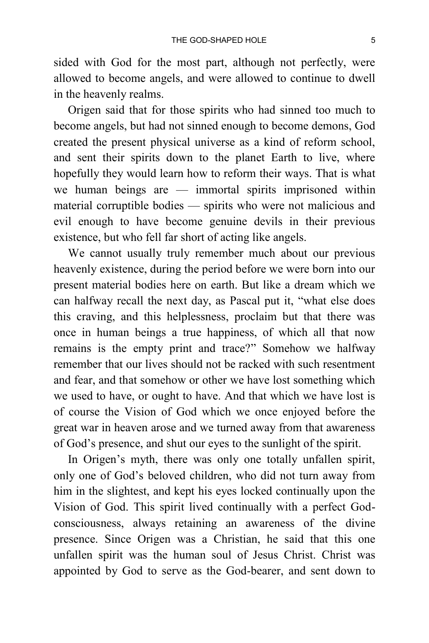sided with God for the most part, although not perfectly, were allowed to become angels, and were allowed to continue to dwell in the heavenly realms.

Origen said that for those spirits who had sinned too much to become angels, but had not sinned enough to become demons, God created the present physical universe as a kind of reform school, and sent their spirits down to the planet Earth to live, where hopefully they would learn how to reform their ways. That is what we human beings are — immortal spirits imprisoned within material corruptible bodies — spirits who were not malicious and evil enough to have become genuine devils in their previous existence, but who fell far short of acting like angels.

We cannot usually truly remember much about our previous heavenly existence, during the period before we were born into our present material bodies here on earth. But like a dream which we can halfway recall the next day, as Pascal put it, "what else does this craving, and this helplessness, proclaim but that there was once in human beings a true happiness, of which all that now remains is the empty print and trace?" Somehow we halfway remember that our lives should not be racked with such resentment and fear, and that somehow or other we have lost something which we used to have, or ought to have. And that which we have lost is of course the Vision of God which we once enjoyed before the great war in heaven arose and we turned away from that awareness of God's presence, and shut our eyes to the sunlight of the spirit.

In Origen's myth, there was only one totally unfallen spirit, only one of God's beloved children, who did not turn away from him in the slightest, and kept his eyes locked continually upon the Vision of God. This spirit lived continually with a perfect Godconsciousness, always retaining an awareness of the divine presence. Since Origen was a Christian, he said that this one unfallen spirit was the human soul of Jesus Christ. Christ was appointed by God to serve as the God-bearer, and sent down to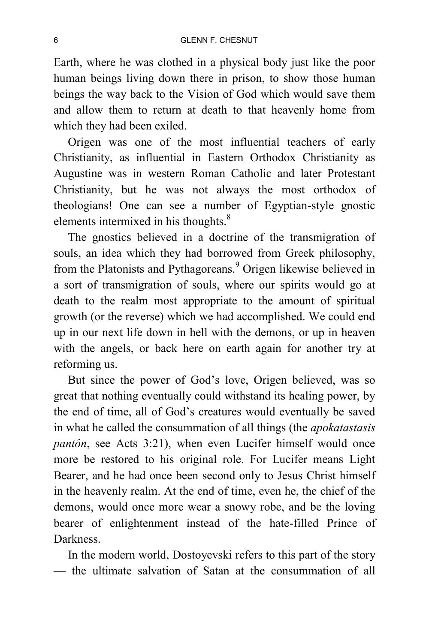Earth, where he was clothed in a physical body just like the poor human beings living down there in prison, to show those human beings the way back to the Vision of God which would save them and allow them to return at death to that heavenly home from which they had been exiled.

Origen was one of the most influential teachers of early Christianity, as influential in Eastern Orthodox Christianity as Augustine was in western Roman Catholic and later Protestant Christianity, but he was not always the most orthodox of theologians! One can see a number of Egyptian-style gnostic elements intermixed in his thoughts.<sup>8</sup>

The gnostics believed in a doctrine of the transmigration of souls, an idea which they had borrowed from Greek philosophy, from the Platonists and Pythagoreans.<sup>9</sup> Origen likewise believed in a sort of transmigration of souls, where our spirits would go at death to the realm most appropriate to the amount of spiritual growth (or the reverse) which we had accomplished. We could end up in our next life down in hell with the demons, or up in heaven with the angels, or back here on earth again for another try at reforming us.

But since the power of God's love, Origen believed, was so great that nothing eventually could withstand its healing power, by the end of time, all of God's creatures would eventually be saved in what he called the consummation of all things (the *apokatastasis pantôn*, see Acts 3:21), when even Lucifer himself would once more be restored to his original role. For Lucifer means Light Bearer, and he had once been second only to Jesus Christ himself in the heavenly realm. At the end of time, even he, the chief of the demons, would once more wear a snowy robe, and be the loving bearer of enlightenment instead of the hate-filled Prince of Darkness.

In the modern world, Dostoyevski refers to this part of the story — the ultimate salvation of Satan at the consummation of all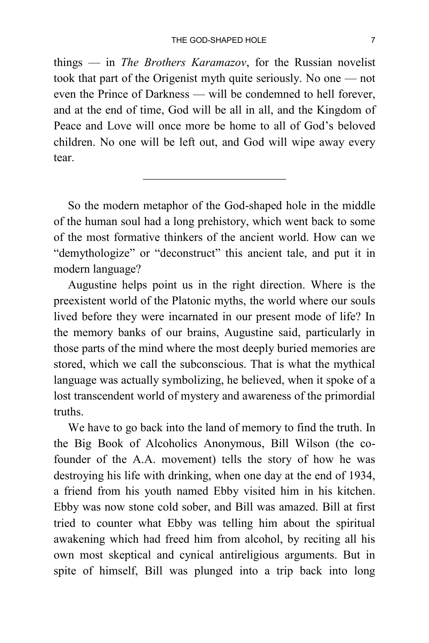things — in *The Brothers Karamazov*, for the Russian novelist took that part of the Origenist myth quite seriously. No one — not even the Prince of Darkness — will be condemned to hell forever, and at the end of time, God will be all in all, and the Kingdom of Peace and Love will once more be home to all of God's beloved children. No one will be left out, and God will wipe away every tear.

 $\mathcal{L}_\text{max}$  , where  $\mathcal{L}_\text{max}$  , we have the set of  $\mathcal{L}_\text{max}$ 

So the modern metaphor of the God-shaped hole in the middle of the human soul had a long prehistory, which went back to some of the most formative thinkers of the ancient world. How can we "demythologize" or "deconstruct" this ancient tale, and put it in modern language?

Augustine helps point us in the right direction. Where is the preexistent world of the Platonic myths, the world where our souls lived before they were incarnated in our present mode of life? In the memory banks of our brains, Augustine said, particularly in those parts of the mind where the most deeply buried memories are stored, which we call the subconscious. That is what the mythical language was actually symbolizing, he believed, when it spoke of a lost transcendent world of mystery and awareness of the primordial truths.

We have to go back into the land of memory to find the truth. In the Big Book of Alcoholics Anonymous, Bill Wilson (the cofounder of the A.A. movement) tells the story of how he was destroying his life with drinking, when one day at the end of 1934, a friend from his youth named Ebby visited him in his kitchen. Ebby was now stone cold sober, and Bill was amazed. Bill at first tried to counter what Ebby was telling him about the spiritual awakening which had freed him from alcohol, by reciting all his own most skeptical and cynical antireligious arguments. But in spite of himself, Bill was plunged into a trip back into long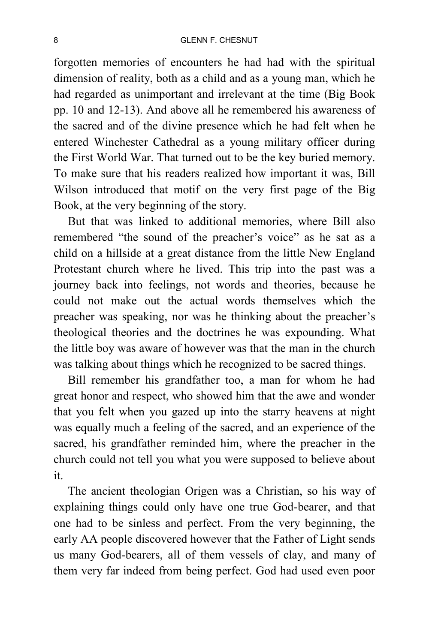forgotten memories of encounters he had had with the spiritual dimension of reality, both as a child and as a young man, which he had regarded as unimportant and irrelevant at the time (Big Book pp. 10 and 12-13). And above all he remembered his awareness of the sacred and of the divine presence which he had felt when he entered Winchester Cathedral as a young military officer during the First World War. That turned out to be the key buried memory. To make sure that his readers realized how important it was, Bill Wilson introduced that motif on the very first page of the Big Book, at the very beginning of the story.

But that was linked to additional memories, where Bill also remembered "the sound of the preacher's voice" as he sat as a child on a hillside at a great distance from the little New England Protestant church where he lived. This trip into the past was a journey back into feelings, not words and theories, because he could not make out the actual words themselves which the preacher was speaking, nor was he thinking about the preacher's theological theories and the doctrines he was expounding. What the little boy was aware of however was that the man in the church was talking about things which he recognized to be sacred things.

Bill remember his grandfather too, a man for whom he had great honor and respect, who showed him that the awe and wonder that you felt when you gazed up into the starry heavens at night was equally much a feeling of the sacred, and an experience of the sacred, his grandfather reminded him, where the preacher in the church could not tell you what you were supposed to believe about it.

The ancient theologian Origen was a Christian, so his way of explaining things could only have one true God-bearer, and that one had to be sinless and perfect. From the very beginning, the early AA people discovered however that the Father of Light sends us many God-bearers, all of them vessels of clay, and many of them very far indeed from being perfect. God had used even poor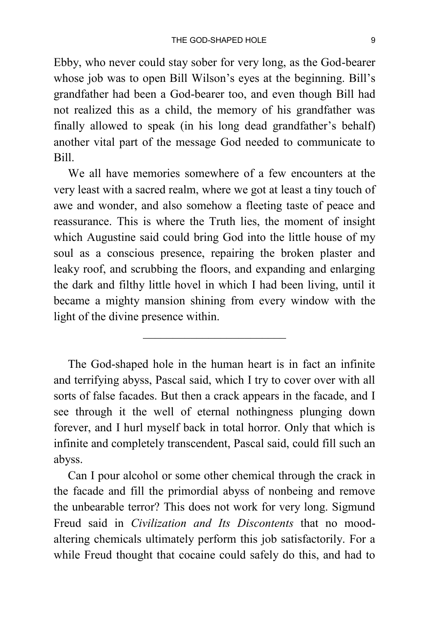Ebby, who never could stay sober for very long, as the God-bearer whose job was to open Bill Wilson's eyes at the beginning. Bill's grandfather had been a God-bearer too, and even though Bill had not realized this as a child, the memory of his grandfather was finally allowed to speak (in his long dead grandfather's behalf) another vital part of the message God needed to communicate to Bill.

We all have memories somewhere of a few encounters at the very least with a sacred realm, where we got at least a tiny touch of awe and wonder, and also somehow a fleeting taste of peace and reassurance. This is where the Truth lies, the moment of insight which Augustine said could bring God into the little house of my soul as a conscious presence, repairing the broken plaster and leaky roof, and scrubbing the floors, and expanding and enlarging the dark and filthy little hovel in which I had been living, until it became a mighty mansion shining from every window with the light of the divine presence within.

The God-shaped hole in the human heart is in fact an infinite and terrifying abyss, Pascal said, which I try to cover over with all sorts of false facades. But then a crack appears in the facade, and I see through it the well of eternal nothingness plunging down forever, and I hurl myself back in total horror. Only that which is infinite and completely transcendent, Pascal said, could fill such an abyss.

Can I pour alcohol or some other chemical through the crack in the facade and fill the primordial abyss of nonbeing and remove the unbearable terror? This does not work for very long. Sigmund Freud said in *Civilization and Its Discontents* that no moodaltering chemicals ultimately perform this job satisfactorily. For a while Freud thought that cocaine could safely do this, and had to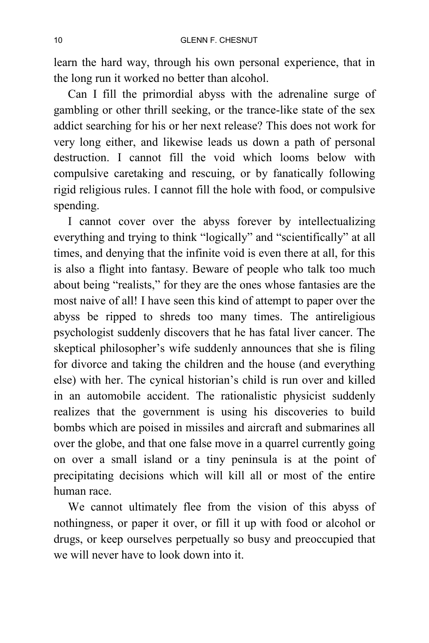learn the hard way, through his own personal experience, that in the long run it worked no better than alcohol.

Can I fill the primordial abyss with the adrenaline surge of gambling or other thrill seeking, or the trance-like state of the sex addict searching for his or her next release? This does not work for very long either, and likewise leads us down a path of personal destruction. I cannot fill the void which looms below with compulsive caretaking and rescuing, or by fanatically following rigid religious rules. I cannot fill the hole with food, or compulsive spending.

I cannot cover over the abyss forever by intellectualizing everything and trying to think "logically" and "scientifically" at all times, and denying that the infinite void is even there at all, for this is also a flight into fantasy. Beware of people who talk too much about being "realists," for they are the ones whose fantasies are the most naive of all! I have seen this kind of attempt to paper over the abyss be ripped to shreds too many times. The antireligious psychologist suddenly discovers that he has fatal liver cancer. The skeptical philosopher's wife suddenly announces that she is filing for divorce and taking the children and the house (and everything else) with her. The cynical historian's child is run over and killed in an automobile accident. The rationalistic physicist suddenly realizes that the government is using his discoveries to build bombs which are poised in missiles and aircraft and submarines all over the globe, and that one false move in a quarrel currently going on over a small island or a tiny peninsula is at the point of precipitating decisions which will kill all or most of the entire human race.

We cannot ultimately flee from the vision of this abyss of nothingness, or paper it over, or fill it up with food or alcohol or drugs, or keep ourselves perpetually so busy and preoccupied that we will never have to look down into it.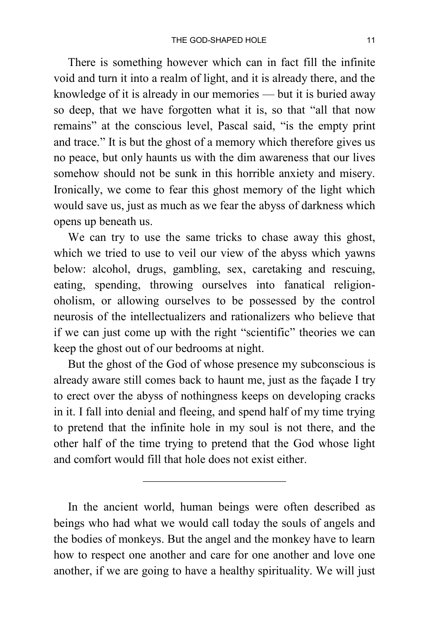There is something however which can in fact fill the infinite void and turn it into a realm of light, and it is already there, and the knowledge of it is already in our memories — but it is buried away so deep, that we have forgotten what it is, so that "all that now remains" at the conscious level, Pascal said, "is the empty print and trace." It is but the ghost of a memory which therefore gives us no peace, but only haunts us with the dim awareness that our lives somehow should not be sunk in this horrible anxiety and misery. Ironically, we come to fear this ghost memory of the light which would save us, just as much as we fear the abyss of darkness which opens up beneath us.

We can try to use the same tricks to chase away this ghost, which we tried to use to veil our view of the abyss which yawns below: alcohol, drugs, gambling, sex, caretaking and rescuing, eating, spending, throwing ourselves into fanatical religionoholism, or allowing ourselves to be possessed by the control neurosis of the intellectualizers and rationalizers who believe that if we can just come up with the right "scientific" theories we can keep the ghost out of our bedrooms at night.

But the ghost of the God of whose presence my subconscious is already aware still comes back to haunt me, just as the façade I try to erect over the abyss of nothingness keeps on developing cracks in it. I fall into denial and fleeing, and spend half of my time trying to pretend that the infinite hole in my soul is not there, and the other half of the time trying to pretend that the God whose light and comfort would fill that hole does not exist either.

In the ancient world, human beings were often described as beings who had what we would call today the souls of angels and the bodies of monkeys. But the angel and the monkey have to learn how to respect one another and care for one another and love one another, if we are going to have a healthy spirituality. We will just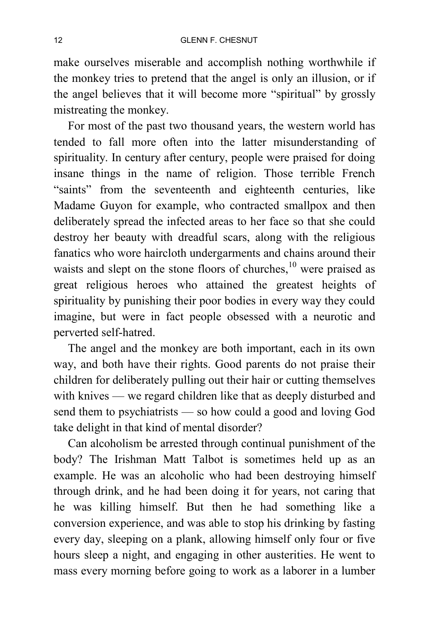make ourselves miserable and accomplish nothing worthwhile if the monkey tries to pretend that the angel is only an illusion, or if the angel believes that it will become more "spiritual" by grossly mistreating the monkey.

For most of the past two thousand years, the western world has tended to fall more often into the latter misunderstanding of spirituality. In century after century, people were praised for doing insane things in the name of religion. Those terrible French "saints" from the seventeenth and eighteenth centuries, like Madame Guyon for example, who contracted smallpox and then deliberately spread the infected areas to her face so that she could destroy her beauty with dreadful scars, along with the religious fanatics who wore haircloth undergarments and chains around their waists and slept on the stone floors of churches, $10$  were praised as great religious heroes who attained the greatest heights of spirituality by punishing their poor bodies in every way they could imagine, but were in fact people obsessed with a neurotic and perverted self-hatred.

The angel and the monkey are both important, each in its own way, and both have their rights. Good parents do not praise their children for deliberately pulling out their hair or cutting themselves with knives — we regard children like that as deeply disturbed and send them to psychiatrists — so how could a good and loving God take delight in that kind of mental disorder?

Can alcoholism be arrested through continual punishment of the body? The Irishman Matt Talbot is sometimes held up as an example. He was an alcoholic who had been destroying himself through drink, and he had been doing it for years, not caring that he was killing himself. But then he had something like a conversion experience, and was able to stop his drinking by fasting every day, sleeping on a plank, allowing himself only four or five hours sleep a night, and engaging in other austerities. He went to mass every morning before going to work as a laborer in a lumber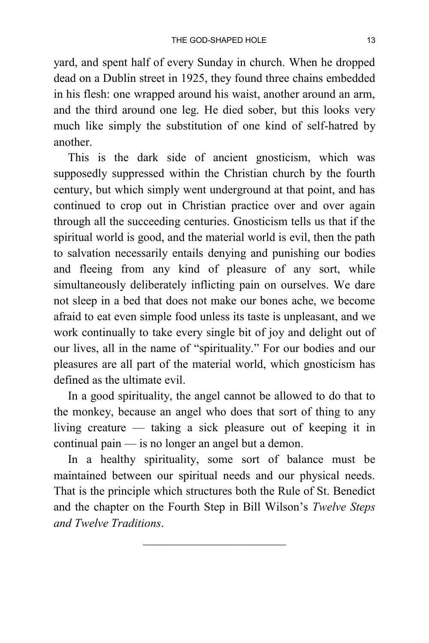yard, and spent half of every Sunday in church. When he dropped dead on a Dublin street in 1925, they found three chains embedded in his flesh: one wrapped around his waist, another around an arm, and the third around one leg. He died sober, but this looks very much like simply the substitution of one kind of self-hatred by another.

This is the dark side of ancient gnosticism, which was supposedly suppressed within the Christian church by the fourth century, but which simply went underground at that point, and has continued to crop out in Christian practice over and over again through all the succeeding centuries. Gnosticism tells us that if the spiritual world is good, and the material world is evil, then the path to salvation necessarily entails denying and punishing our bodies and fleeing from any kind of pleasure of any sort, while simultaneously deliberately inflicting pain on ourselves. We dare not sleep in a bed that does not make our bones ache, we become afraid to eat even simple food unless its taste is unpleasant, and we work continually to take every single bit of joy and delight out of our lives, all in the name of "spirituality." For our bodies and our pleasures are all part of the material world, which gnosticism has defined as the ultimate evil.

In a good spirituality, the angel cannot be allowed to do that to the monkey, because an angel who does that sort of thing to any living creature — taking a sick pleasure out of keeping it in continual pain — is no longer an angel but a demon.

In a healthy spirituality, some sort of balance must be maintained between our spiritual needs and our physical needs. That is the principle which structures both the Rule of St. Benedict and the chapter on the Fourth Step in Bill Wilson's *Twelve Steps and Twelve Traditions*.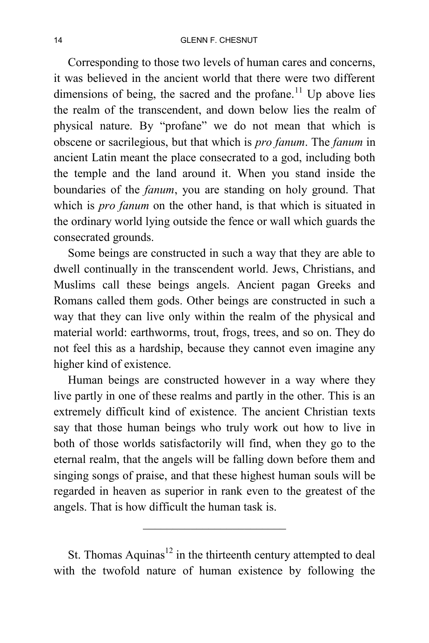Corresponding to those two levels of human cares and concerns, it was believed in the ancient world that there were two different dimensions of being, the sacred and the profane.<sup>11</sup> Up above lies the realm of the transcendent, and down below lies the realm of physical nature. By "profane" we do not mean that which is obscene or sacrilegious, but that which is *pro fanum*. The *fanum* in ancient Latin meant the place consecrated to a god, including both the temple and the land around it. When you stand inside the boundaries of the *fanum*, you are standing on holy ground. That which is *pro fanum* on the other hand, is that which is situated in the ordinary world lying outside the fence or wall which guards the consecrated grounds.

Some beings are constructed in such a way that they are able to dwell continually in the transcendent world. Jews, Christians, and Muslims call these beings angels. Ancient pagan Greeks and Romans called them gods. Other beings are constructed in such a way that they can live only within the realm of the physical and material world: earthworms, trout, frogs, trees, and so on. They do not feel this as a hardship, because they cannot even imagine any higher kind of existence.

Human beings are constructed however in a way where they live partly in one of these realms and partly in the other. This is an extremely difficult kind of existence. The ancient Christian texts say that those human beings who truly work out how to live in both of those worlds satisfactorily will find, when they go to the eternal realm, that the angels will be falling down before them and singing songs of praise, and that these highest human souls will be regarded in heaven as superior in rank even to the greatest of the angels. That is how difficult the human task is.

St. Thomas Aquinas<sup>12</sup> in the thirteenth century attempted to deal with the twofold nature of human existence by following the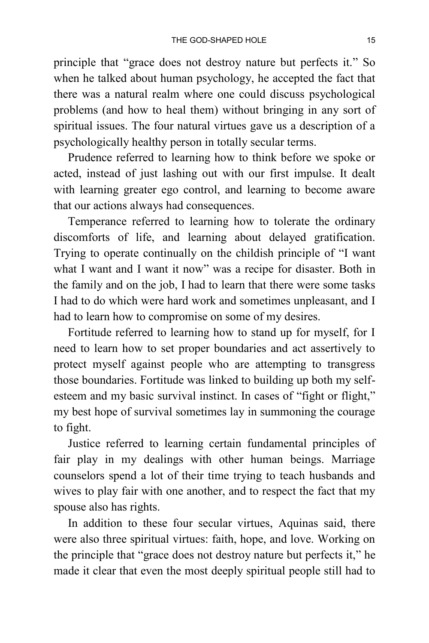principle that "grace does not destroy nature but perfects it." So when he talked about human psychology, he accepted the fact that there was a natural realm where one could discuss psychological problems (and how to heal them) without bringing in any sort of spiritual issues. The four natural virtues gave us a description of a psychologically healthy person in totally secular terms.

Prudence referred to learning how to think before we spoke or acted, instead of just lashing out with our first impulse. It dealt with learning greater ego control, and learning to become aware that our actions always had consequences.

Temperance referred to learning how to tolerate the ordinary discomforts of life, and learning about delayed gratification. Trying to operate continually on the childish principle of "I want what I want and I want it now" was a recipe for disaster. Both in the family and on the job, I had to learn that there were some tasks I had to do which were hard work and sometimes unpleasant, and I had to learn how to compromise on some of my desires.

Fortitude referred to learning how to stand up for myself, for I need to learn how to set proper boundaries and act assertively to protect myself against people who are attempting to transgress those boundaries. Fortitude was linked to building up both my selfesteem and my basic survival instinct. In cases of "fight or flight," my best hope of survival sometimes lay in summoning the courage to fight.

Justice referred to learning certain fundamental principles of fair play in my dealings with other human beings. Marriage counselors spend a lot of their time trying to teach husbands and wives to play fair with one another, and to respect the fact that my spouse also has rights.

In addition to these four secular virtues, Aquinas said, there were also three spiritual virtues: faith, hope, and love. Working on the principle that "grace does not destroy nature but perfects it," he made it clear that even the most deeply spiritual people still had to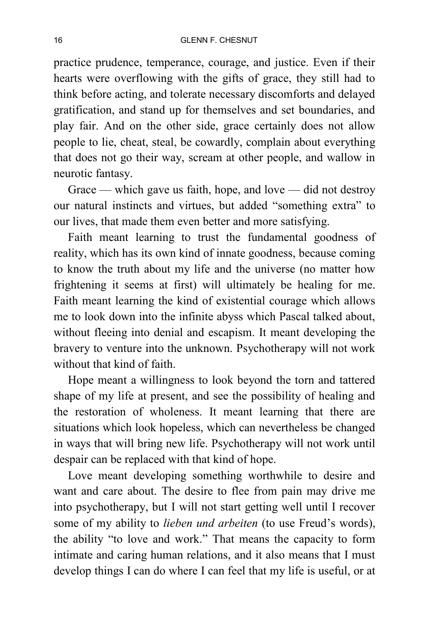practice prudence, temperance, courage, and justice. Even if their hearts were overflowing with the gifts of grace, they still had to think before acting, and tolerate necessary discomforts and delayed gratification, and stand up for themselves and set boundaries, and play fair. And on the other side, grace certainly does not allow people to lie, cheat, steal, be cowardly, complain about everything that does not go their way, scream at other people, and wallow in neurotic fantasy.

Grace — which gave us faith, hope, and love — did not destroy our natural instincts and virtues, but added "something extra" to our lives, that made them even better and more satisfying.

Faith meant learning to trust the fundamental goodness of reality, which has its own kind of innate goodness, because coming to know the truth about my life and the universe (no matter how frightening it seems at first) will ultimately be healing for me. Faith meant learning the kind of existential courage which allows me to look down into the infinite abyss which Pascal talked about, without fleeing into denial and escapism. It meant developing the bravery to venture into the unknown. Psychotherapy will not work without that kind of faith.

Hope meant a willingness to look beyond the torn and tattered shape of my life at present, and see the possibility of healing and the restoration of wholeness. It meant learning that there are situations which look hopeless, which can nevertheless be changed in ways that will bring new life. Psychotherapy will not work until despair can be replaced with that kind of hope.

Love meant developing something worthwhile to desire and want and care about. The desire to flee from pain may drive me into psychotherapy, but I will not start getting well until I recover some of my ability to *lieben und arbeiten* (to use Freud's words), the ability "to love and work." That means the capacity to form intimate and caring human relations, and it also means that I must develop things I can do where I can feel that my life is useful, or at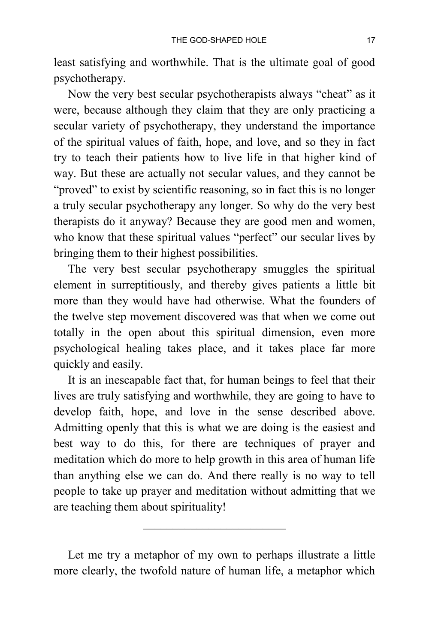least satisfying and worthwhile. That is the ultimate goal of good psychotherapy.

Now the very best secular psychotherapists always "cheat" as it were, because although they claim that they are only practicing a secular variety of psychotherapy, they understand the importance of the spiritual values of faith, hope, and love, and so they in fact try to teach their patients how to live life in that higher kind of way. But these are actually not secular values, and they cannot be "proved" to exist by scientific reasoning, so in fact this is no longer a truly secular psychotherapy any longer. So why do the very best therapists do it anyway? Because they are good men and women, who know that these spiritual values "perfect" our secular lives by bringing them to their highest possibilities.

The very best secular psychotherapy smuggles the spiritual element in surreptitiously, and thereby gives patients a little bit more than they would have had otherwise. What the founders of the twelve step movement discovered was that when we come out totally in the open about this spiritual dimension, even more psychological healing takes place, and it takes place far more quickly and easily.

It is an inescapable fact that, for human beings to feel that their lives are truly satisfying and worthwhile, they are going to have to develop faith, hope, and love in the sense described above. Admitting openly that this is what we are doing is the easiest and best way to do this, for there are techniques of prayer and meditation which do more to help growth in this area of human life than anything else we can do. And there really is no way to tell people to take up prayer and meditation without admitting that we are teaching them about spirituality!

Let me try a metaphor of my own to perhaps illustrate a little more clearly, the twofold nature of human life, a metaphor which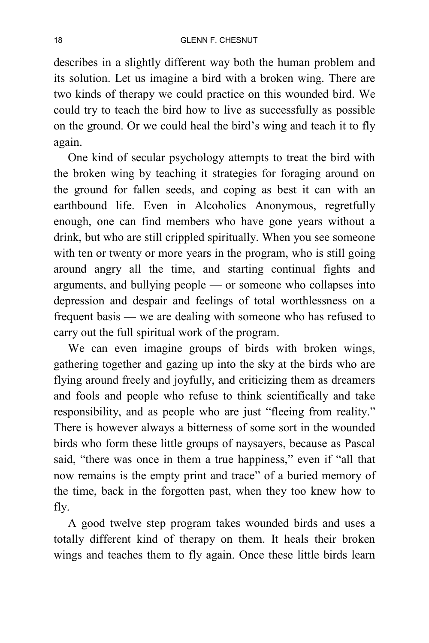describes in a slightly different way both the human problem and its solution. Let us imagine a bird with a broken wing. There are two kinds of therapy we could practice on this wounded bird. We could try to teach the bird how to live as successfully as possible on the ground. Or we could heal the bird's wing and teach it to fly again.

One kind of secular psychology attempts to treat the bird with the broken wing by teaching it strategies for foraging around on the ground for fallen seeds, and coping as best it can with an earthbound life. Even in Alcoholics Anonymous, regretfully enough, one can find members who have gone years without a drink, but who are still crippled spiritually. When you see someone with ten or twenty or more years in the program, who is still going around angry all the time, and starting continual fights and arguments, and bullying people — or someone who collapses into depression and despair and feelings of total worthlessness on a frequent basis — we are dealing with someone who has refused to carry out the full spiritual work of the program.

We can even imagine groups of birds with broken wings, gathering together and gazing up into the sky at the birds who are flying around freely and joyfully, and criticizing them as dreamers and fools and people who refuse to think scientifically and take responsibility, and as people who are just "fleeing from reality." There is however always a bitterness of some sort in the wounded birds who form these little groups of naysayers, because as Pascal said, "there was once in them a true happiness," even if "all that now remains is the empty print and trace" of a buried memory of the time, back in the forgotten past, when they too knew how to fly.

A good twelve step program takes wounded birds and uses a totally different kind of therapy on them. It heals their broken wings and teaches them to fly again. Once these little birds learn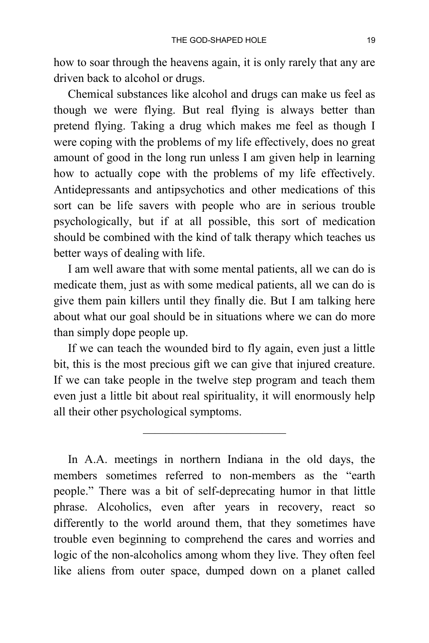how to soar through the heavens again, it is only rarely that any are driven back to alcohol or drugs.

Chemical substances like alcohol and drugs can make us feel as though we were flying. But real flying is always better than pretend flying. Taking a drug which makes me feel as though I were coping with the problems of my life effectively, does no great amount of good in the long run unless I am given help in learning how to actually cope with the problems of my life effectively. Antidepressants and antipsychotics and other medications of this sort can be life savers with people who are in serious trouble psychologically, but if at all possible, this sort of medication should be combined with the kind of talk therapy which teaches us better ways of dealing with life.

I am well aware that with some mental patients, all we can do is medicate them, just as with some medical patients, all we can do is give them pain killers until they finally die. But I am talking here about what our goal should be in situations where we can do more than simply dope people up.

If we can teach the wounded bird to fly again, even just a little bit, this is the most precious gift we can give that injured creature. If we can take people in the twelve step program and teach them even just a little bit about real spirituality, it will enormously help all their other psychological symptoms.

In A.A. meetings in northern Indiana in the old days, the members sometimes referred to non-members as the "earth people." There was a bit of self-deprecating humor in that little phrase. Alcoholics, even after years in recovery, react so differently to the world around them, that they sometimes have trouble even beginning to comprehend the cares and worries and logic of the non-alcoholics among whom they live. They often feel like aliens from outer space, dumped down on a planet called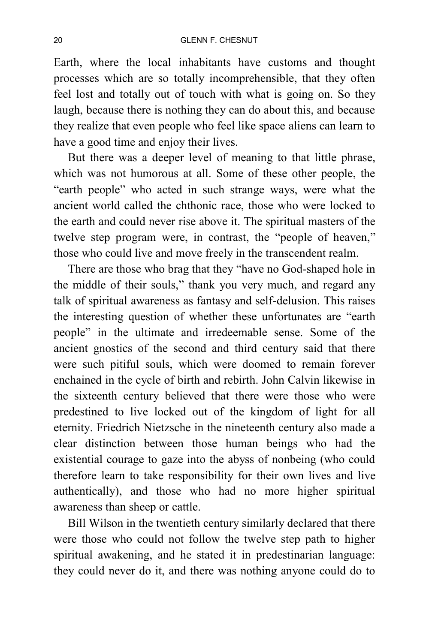Earth, where the local inhabitants have customs and thought processes which are so totally incomprehensible, that they often feel lost and totally out of touch with what is going on. So they laugh, because there is nothing they can do about this, and because they realize that even people who feel like space aliens can learn to have a good time and enjoy their lives.

But there was a deeper level of meaning to that little phrase, which was not humorous at all. Some of these other people, the "earth people" who acted in such strange ways, were what the ancient world called the chthonic race, those who were locked to the earth and could never rise above it. The spiritual masters of the twelve step program were, in contrast, the "people of heaven," those who could live and move freely in the transcendent realm.

There are those who brag that they "have no God-shaped hole in the middle of their souls," thank you very much, and regard any talk of spiritual awareness as fantasy and self-delusion. This raises the interesting question of whether these unfortunates are "earth people" in the ultimate and irredeemable sense. Some of the ancient gnostics of the second and third century said that there were such pitiful souls, which were doomed to remain forever enchained in the cycle of birth and rebirth. John Calvin likewise in the sixteenth century believed that there were those who were predestined to live locked out of the kingdom of light for all eternity. Friedrich Nietzsche in the nineteenth century also made a clear distinction between those human beings who had the existential courage to gaze into the abyss of nonbeing (who could therefore learn to take responsibility for their own lives and live authentically), and those who had no more higher spiritual awareness than sheep or cattle.

Bill Wilson in the twentieth century similarly declared that there were those who could not follow the twelve step path to higher spiritual awakening, and he stated it in predestinarian language: they could never do it, and there was nothing anyone could do to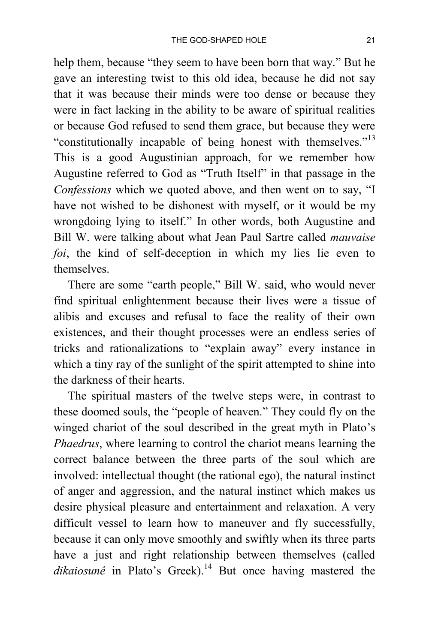help them, because "they seem to have been born that way." But he gave an interesting twist to this old idea, because he did not say that it was because their minds were too dense or because they were in fact lacking in the ability to be aware of spiritual realities or because God refused to send them grace, but because they were "constitutionally incapable of being honest with themselves."<sup>13</sup> This is a good Augustinian approach, for we remember how Augustine referred to God as "Truth Itself" in that passage in the *Confessions* which we quoted above, and then went on to say, "I have not wished to be dishonest with myself, or it would be my wrongdoing lying to itself." In other words, both Augustine and Bill W. were talking about what Jean Paul Sartre called *mauvaise foi*, the kind of self-deception in which my lies lie even to themselves.

There are some "earth people," Bill W. said, who would never find spiritual enlightenment because their lives were a tissue of alibis and excuses and refusal to face the reality of their own existences, and their thought processes were an endless series of tricks and rationalizations to "explain away" every instance in which a tiny ray of the sunlight of the spirit attempted to shine into the darkness of their hearts.

The spiritual masters of the twelve steps were, in contrast to these doomed souls, the "people of heaven." They could fly on the winged chariot of the soul described in the great myth in Plato's *Phaedrus*, where learning to control the chariot means learning the correct balance between the three parts of the soul which are involved: intellectual thought (the rational ego), the natural instinct of anger and aggression, and the natural instinct which makes us desire physical pleasure and entertainment and relaxation. A very difficult vessel to learn how to maneuver and fly successfully, because it can only move smoothly and swiftly when its three parts have a just and right relationship between themselves (called  $dikaiosun\hat{e}$  in Plato's Greek).<sup>14</sup> But once having mastered the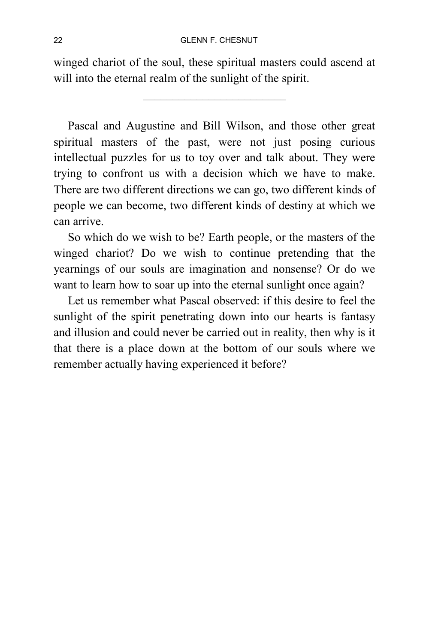winged chariot of the soul, these spiritual masters could ascend at will into the eternal realm of the sunlight of the spirit.

Pascal and Augustine and Bill Wilson, and those other great spiritual masters of the past, were not just posing curious intellectual puzzles for us to toy over and talk about. They were trying to confront us with a decision which we have to make. There are two different directions we can go, two different kinds of people we can become, two different kinds of destiny at which we can arrive.

So which do we wish to be? Earth people, or the masters of the winged chariot? Do we wish to continue pretending that the yearnings of our souls are imagination and nonsense? Or do we want to learn how to soar up into the eternal sunlight once again?

Let us remember what Pascal observed: if this desire to feel the sunlight of the spirit penetrating down into our hearts is fantasy and illusion and could never be carried out in reality, then why is it that there is a place down at the bottom of our souls where we remember actually having experienced it before?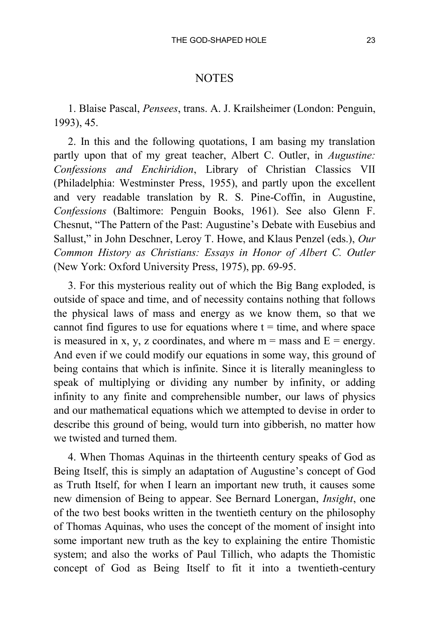## **NOTES**

1. Blaise Pascal, *Pensees*, trans. A. J. Krailsheimer (London: Penguin, 1993), 45.

2. In this and the following quotations, I am basing my translation partly upon that of my great teacher, Albert C. Outler, in *Augustine: Confessions and Enchiridion*, Library of Christian Classics VII (Philadelphia: Westminster Press, 1955), and partly upon the excellent and very readable translation by R. S. Pine-Coffin, in Augustine, *Confessions* (Baltimore: Penguin Books, 1961). See also Glenn F. Chesnut, "The Pattern of the Past: Augustine's Debate with Eusebius and Sallust," in John Deschner, Leroy T. Howe, and Klaus Penzel (eds.), *Our Common History as Christians: Essays in Honor of Albert C. Outler* (New York: Oxford University Press, 1975), pp. 69-95.

3. For this mysterious reality out of which the Big Bang exploded, is outside of space and time, and of necessity contains nothing that follows the physical laws of mass and energy as we know them, so that we cannot find figures to use for equations where  $t = time$ , and where space is measured in x, y, z coordinates, and where  $m =$  mass and  $E =$  energy. And even if we could modify our equations in some way, this ground of being contains that which is infinite. Since it is literally meaningless to speak of multiplying or dividing any number by infinity, or adding infinity to any finite and comprehensible number, our laws of physics and our mathematical equations which we attempted to devise in order to describe this ground of being, would turn into gibberish, no matter how we twisted and turned them.

4. When Thomas Aquinas in the thirteenth century speaks of God as Being Itself, this is simply an adaptation of Augustine's concept of God as Truth Itself, for when I learn an important new truth, it causes some new dimension of Being to appear. See Bernard Lonergan, *Insight*, one of the two best books written in the twentieth century on the philosophy of Thomas Aquinas, who uses the concept of the moment of insight into some important new truth as the key to explaining the entire Thomistic system; and also the works of Paul Tillich, who adapts the Thomistic concept of God as Being Itself to fit it into a twentieth-century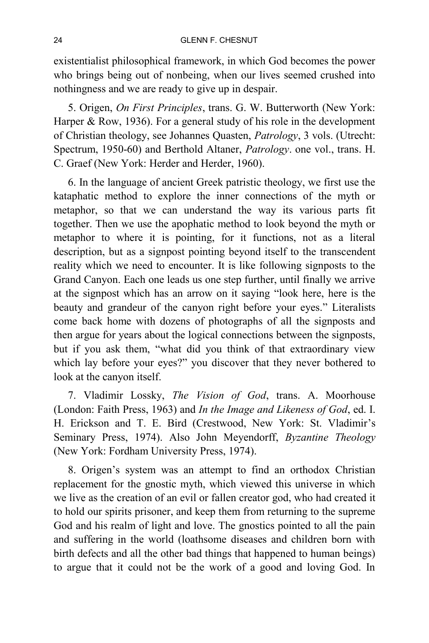existentialist philosophical framework, in which God becomes the power who brings being out of nonbeing, when our lives seemed crushed into nothingness and we are ready to give up in despair.

5. Origen, *On First Principles*, trans. G. W. Butterworth (New York: Harper & Row, 1936). For a general study of his role in the development of Christian theology, see Johannes Quasten, *Patrology*, 3 vols. (Utrecht: Spectrum, 1950-60) and Berthold Altaner, *Patrology*. one vol., trans. H. C. Graef (New York: Herder and Herder, 1960).

6. In the language of ancient Greek patristic theology, we first use the kataphatic method to explore the inner connections of the myth or metaphor, so that we can understand the way its various parts fit together. Then we use the apophatic method to look beyond the myth or metaphor to where it is pointing, for it functions, not as a literal description, but as a signpost pointing beyond itself to the transcendent reality which we need to encounter. It is like following signposts to the Grand Canyon. Each one leads us one step further, until finally we arrive at the signpost which has an arrow on it saying "look here, here is the beauty and grandeur of the canyon right before your eyes." Literalists come back home with dozens of photographs of all the signposts and then argue for years about the logical connections between the signposts, but if you ask them, "what did you think of that extraordinary view which lay before your eyes?" you discover that they never bothered to look at the canyon itself.

7. Vladimir Lossky, *The Vision of God*, trans. A. Moorhouse (London: Faith Press, 1963) and *In the Image and Likeness of God*, ed. I. H. Erickson and T. E. Bird (Crestwood, New York: St. Vladimir's Seminary Press, 1974). Also John Meyendorff, *Byzantine Theology* (New York: Fordham University Press, 1974).

8. Origen's system was an attempt to find an orthodox Christian replacement for the gnostic myth, which viewed this universe in which we live as the creation of an evil or fallen creator god, who had created it to hold our spirits prisoner, and keep them from returning to the supreme God and his realm of light and love. The gnostics pointed to all the pain and suffering in the world (loathsome diseases and children born with birth defects and all the other bad things that happened to human beings) to argue that it could not be the work of a good and loving God. In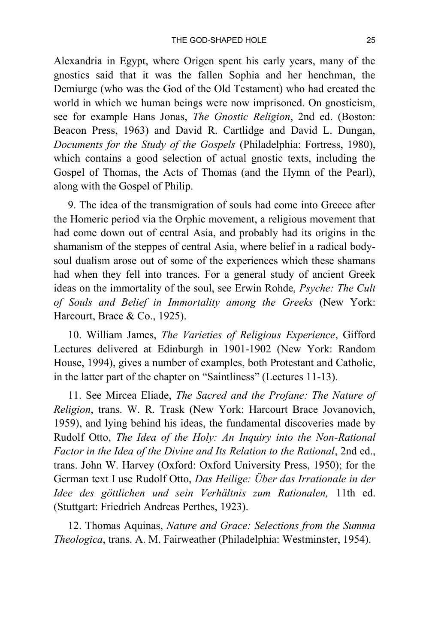Alexandria in Egypt, where Origen spent his early years, many of the gnostics said that it was the fallen Sophia and her henchman, the Demiurge (who was the God of the Old Testament) who had created the world in which we human beings were now imprisoned. On gnosticism, see for example Hans Jonas, *The Gnostic Religion*, 2nd ed. (Boston: Beacon Press, 1963) and David R. Cartlidge and David L. Dungan, *Documents for the Study of the Gospels* (Philadelphia: Fortress, 1980), which contains a good selection of actual gnostic texts, including the Gospel of Thomas, the Acts of Thomas (and the Hymn of the Pearl), along with the Gospel of Philip.

9. The idea of the transmigration of souls had come into Greece after the Homeric period via the Orphic movement, a religious movement that had come down out of central Asia, and probably had its origins in the shamanism of the steppes of central Asia, where belief in a radical bodysoul dualism arose out of some of the experiences which these shamans had when they fell into trances. For a general study of ancient Greek ideas on the immortality of the soul, see Erwin Rohde, *Psyche: The Cult of Souls and Belief in Immortality among the Greeks* (New York: Harcourt, Brace & Co., 1925).

10. William James, *The Varieties of Religious Experience*, Gifford Lectures delivered at Edinburgh in 1901-1902 (New York: Random House, 1994), gives a number of examples, both Protestant and Catholic, in the latter part of the chapter on "Saintliness" (Lectures 11-13).

11. See Mircea Eliade, *The Sacred and the Profane: The Nature of Religion*, trans. W. R. Trask (New York: Harcourt Brace Jovanovich, 1959), and lying behind his ideas, the fundamental discoveries made by Rudolf Otto, *The Idea of the Holy: An Inquiry into the Non-Rational Factor in the Idea of the Divine and Its Relation to the Rational*, 2nd ed., trans. John W. Harvey (Oxford: Oxford University Press, 1950); for the German text I use Rudolf Otto, *Das Heilige: Über das Irrationale in der Idee des göttlichen und sein Verhältnis zum Rationalen,* 11th ed. (Stuttgart: Friedrich Andreas Perthes, 1923).

12. Thomas Aquinas, *Nature and Grace: Selections from the Summa Theologica*, trans. A. M. Fairweather (Philadelphia: Westminster, 1954).